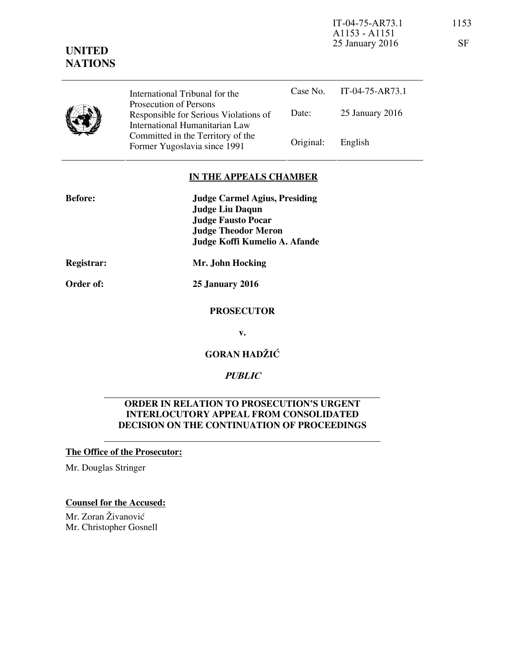IT-04-75-AR73.1 1153 A1153 - A1151 25 January 2016 SF

# **UNITED NATIONS**

Case No. IT-04-75-AR73.1 Date: 25 January 2016 International Tribunal for the Prosecution of Persons Responsible for Serious Violations of International Humanitarian Law Committed in the Territory of the Former Yugoslavia since 1991 Original: English

## **IN THE APPEALS CHAMBER**

| <b>Judge Liu Daqun</b>        |
|-------------------------------|
|                               |
|                               |
| Judge Koffi Kumelio A. Afande |
|                               |
|                               |

**Order of: 25 January 2016** 

## **PROSECUTOR**

**v.** 

**GORAN HADŽIĆ** 

## **PUBLIC**

## **ORDER IN RELATION TO PROSECUTION'S URGENT INTERLOCUTORY APPEAL FROM CONSOLIDATED DECISION ON THE CONTINUATION OF PROCEEDINGS**

## **The Office of the Prosecutor:**

Mr. Douglas Stringer

## **Counsel for the Accused:**

Mr. Zoran Živanović Mr. Christopher Gosnell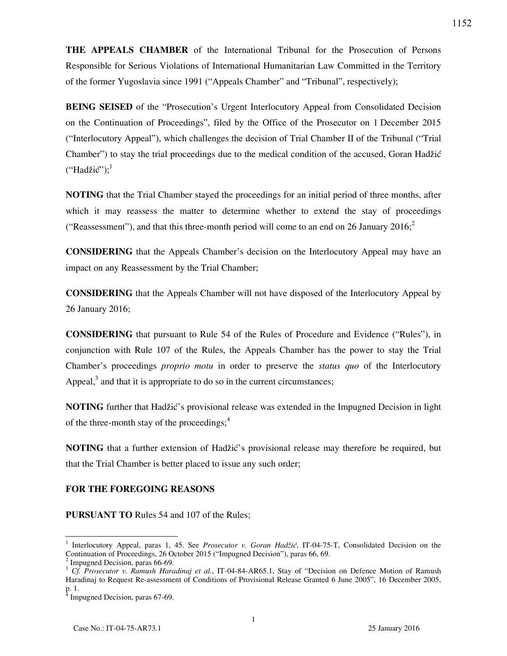**THE APPEALS CHAMBER** of the International Tribunal for the Prosecution of Persons Responsible for Serious Violations of International Humanitarian Law Committed in the Territory of the former Yugoslavia since 1991 ("Appeals Chamber" and "Tribunal", respectively);

**BEING SEISED** of the "Prosecution's Urgent Interlocutory Appeal from Consolidated Decision on the Continuation of Proceedings", filed by the Office of the Prosecutor on 1 December 2015 ("Interlocutory Appeal"), which challenges the decision of Trial Chamber II of the Tribunal ("Trial Chamber") to stay the trial proceedings due to the medical condition of the accused, Goran Hadžić ("Hadžić");<sup>1</sup>

**NOTING** that the Trial Chamber stayed the proceedings for an initial period of three months, after which it may reassess the matter to determine whether to extend the stay of proceedings ("Reassessment"), and that this three-month period will come to an end on 26 January 2016;<sup>2</sup>

**CONSIDERING** that the Appeals Chamber's decision on the Interlocutory Appeal may have an impact on any Reassessment by the Trial Chamber;

**CONSIDERING** that the Appeals Chamber will not have disposed of the Interlocutory Appeal by 26 January 2016;

**CONSIDERING** that pursuant to Rule 54 of the Rules of Procedure and Evidence ("Rules"), in conjunction with Rule 107 of the Rules, the Appeals Chamber has the power to stay the Trial Chamber's proceedings *proprio motu* in order to preserve the *status quo* of the Interlocutory Appeal, $<sup>3</sup>$  and that it is appropriate to do so in the current circumstances;</sup>

**NOTING** further that Hadžić's provisional release was extended in the Impugned Decision in light of the three-month stay of the proceedings;<sup>4</sup>

**NOTING** that a further extension of Hadžić's provisional release may therefore be required, but that the Trial Chamber is better placed to issue any such order;

## **FOR THE FOREGOING REASONS**

**PURSUANT TO** Rules 54 and 107 of the Rules;

-

<sup>1</sup> Interlocutory Appeal, paras 1, 45. See *Prosecutor v. Goran Hadžić*, IT-04-75-T, Consolidated Decision on the Continuation of Proceedings, 26 October 2015 ("Impugned Decision"), paras 66, 69.

<sup>2</sup> Impugned Decision, paras 66-69.

<sup>3</sup> *Cf. Prosecutor v. Ramush Haradinaj et al.*, IT-04-84-AR65.1, Stay of "Decision on Defence Motion of Ramush Haradinaj to Request Re-assessment of Conditions of Provisional Release Granted 6 June 2005", 16 December 2005, p. 1.<br><sup>4</sup> Impugned Decision, paras 67-69.